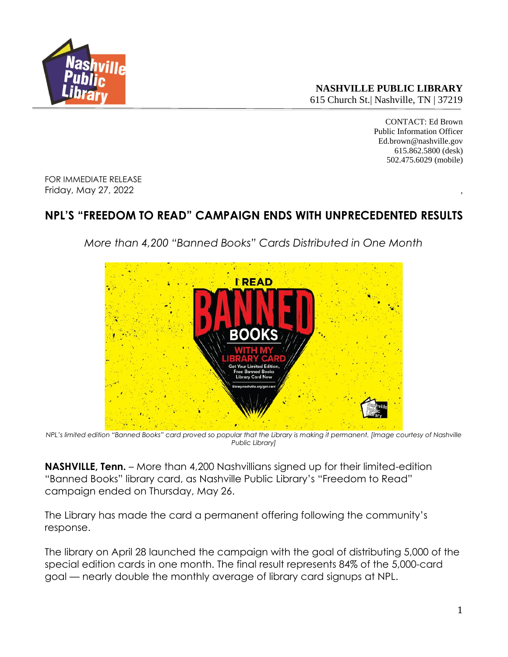

**NASHVILLE PUBLIC LIBRARY** 615 Church St.| Nashville, TN | 37219

> CONTACT: Ed Brown Public Information Officer Ed.brown@nashville.gov 615.862.5800 (desk) 502.475.6029 (mobile)

FOR IMMEDIATE RELEASE Friday, May 27, 2022 ,

## **NPL'S "FREEDOM TO READ" CAMPAIGN ENDS WITH UNPRECEDENTED RESULTS**

*More than 4,200 "Banned Books" Cards Distributed in One Month*



*NPL's limited edition "Banned Books" card proved so popular that the Library is making it permanent. [Image courtesy of Nashville Public Library]*

**NASHVILLE, Tenn.** – More than 4,200 Nashvillians signed up for their limited-edition "Banned Books" library card, as Nashville Public Library's "Freedom to Read" campaign ended on Thursday, May 26.

The Library has made the card a permanent offering following the community's response.

The library on April 28 launched the campaign with the goal of distributing 5,000 of the special edition cards in one month. The final result represents 84% of the 5,000-card goal — nearly double the monthly average of library card signups at NPL.